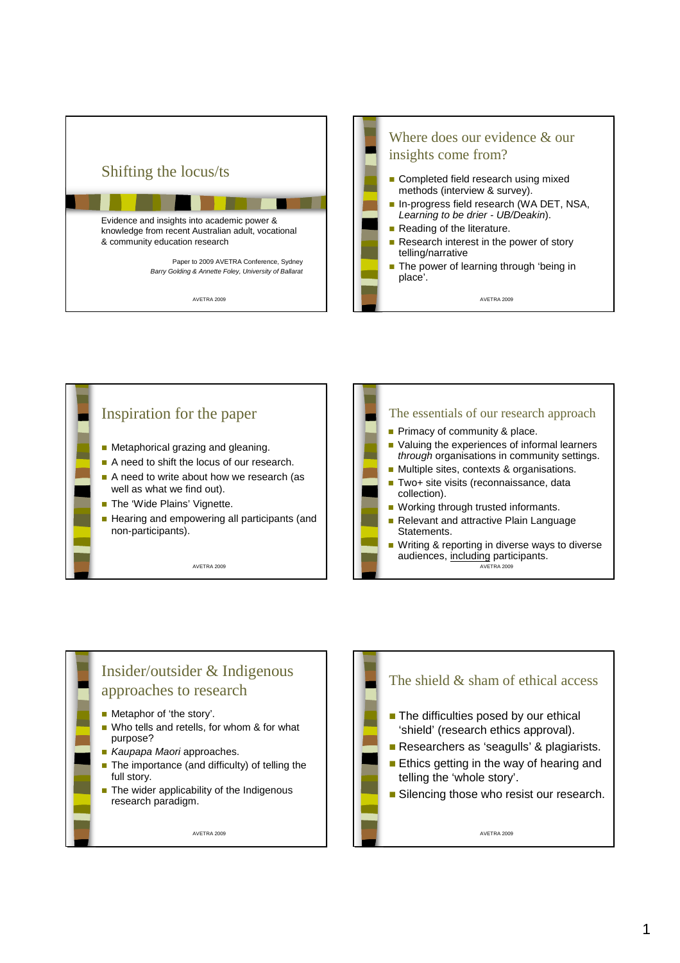